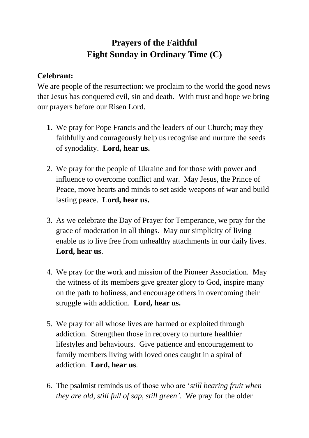## **Prayers of the Faithful Eight Sunday in Ordinary Time (C)**

## **Celebrant:**

We are people of the resurrection: we proclaim to the world the good news that Jesus has conquered evil, sin and death. With trust and hope we bring our prayers before our Risen Lord.

- **1.** We pray for Pope Francis and the leaders of our Church; may they faithfully and courageously help us recognise and nurture the seeds of synodality. **Lord, hear us.**
- 2. We pray for the people of Ukraine and for those with power and influence to overcome conflict and war. May Jesus, the Prince of Peace, move hearts and minds to set aside weapons of war and build lasting peace. **Lord, hear us.**
- 3. As we celebrate the Day of Prayer for Temperance, we pray for the grace of moderation in all things. May our simplicity of living enable us to live free from unhealthy attachments in our daily lives. **Lord, hear us**.
- 4. We pray for the work and mission of the Pioneer Association. May the witness of its members give greater glory to God, inspire many on the path to holiness, and encourage others in overcoming their struggle with addiction. **Lord, hear us.**
- 5. We pray for all whose lives are harmed or exploited through addiction. Strengthen those in recovery to nurture healthier lifestyles and behaviours. Give patience and encouragement to family members living with loved ones caught in a spiral of addiction. **Lord, hear us**.
- 6. The psalmist reminds us of those who are '*still bearing fruit when they are old, still full of sap, still green'*. We pray for the older